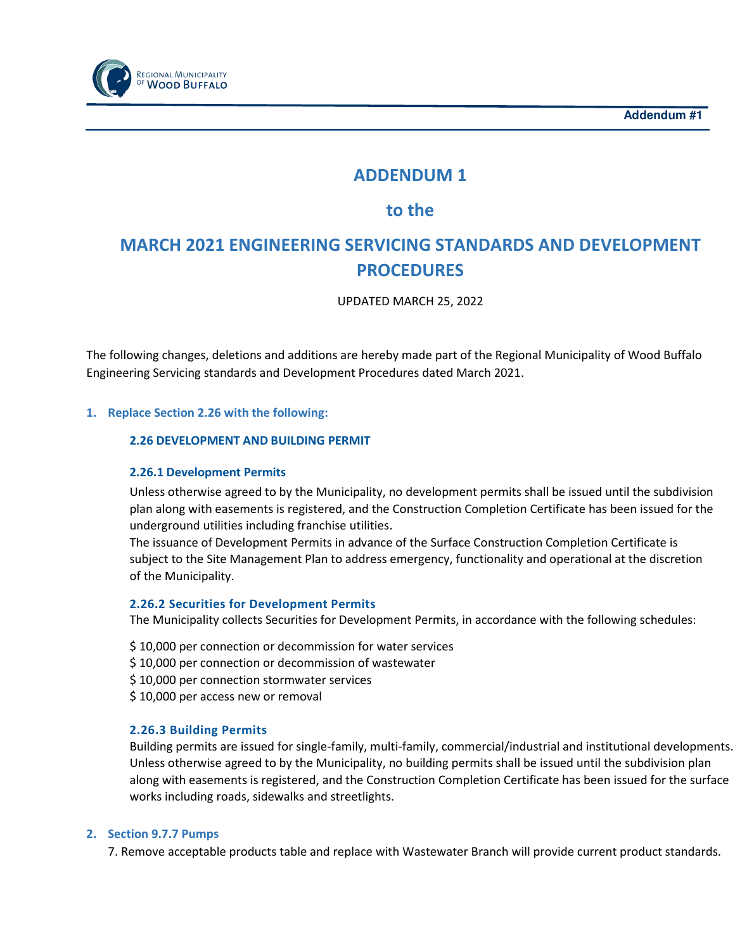



## ADDENDUM 1

### to the

# MARCH 2021 ENGINEERING SERVICING STANDARDS AND DEVELOPMENT **PROCEDURES**

UPDATED MARCH 25, 2022

The following changes, deletions and additions are hereby made part of the Regional Municipality of Wood Buffalo Engineering Servicing standards and Development Procedures dated March 2021.

#### 1. Replace Section 2.26 with the following:

#### 2.26 DEVELOPMENT AND BUILDING PERMIT

#### 2.26.1 Development Permits

Unless otherwise agreed to by the Municipality, no development permits shall be issued until the subdivision plan along with easements is registered, and the Construction Completion Certificate has been issued for the underground utilities including franchise utilities.

The issuance of Development Permits in advance of the Surface Construction Completion Certificate is subject to the Site Management Plan to address emergency, functionality and operational at the discretion of the Municipality.

#### 2.26.2 Securities for Development Permits

The Municipality collects Securities for Development Permits, in accordance with the following schedules:

- \$ 10,000 per connection or decommission for water services
- \$10,000 per connection or decommission of wastewater
- \$ 10,000 per connection stormwater services
- \$ 10,000 per access new or removal

#### 2.26.3 Building Permits

Building permits are issued for single-family, multi-family, commercial/industrial and institutional developments. Unless otherwise agreed to by the Municipality, no building permits shall be issued until the subdivision plan along with easements is registered, and the Construction Completion Certificate has been issued for the surface works including roads, sidewalks and streetlights.

#### 2. Section 9.7.7 Pumps

7. Remove acceptable products table and replace with Wastewater Branch will provide current product standards.